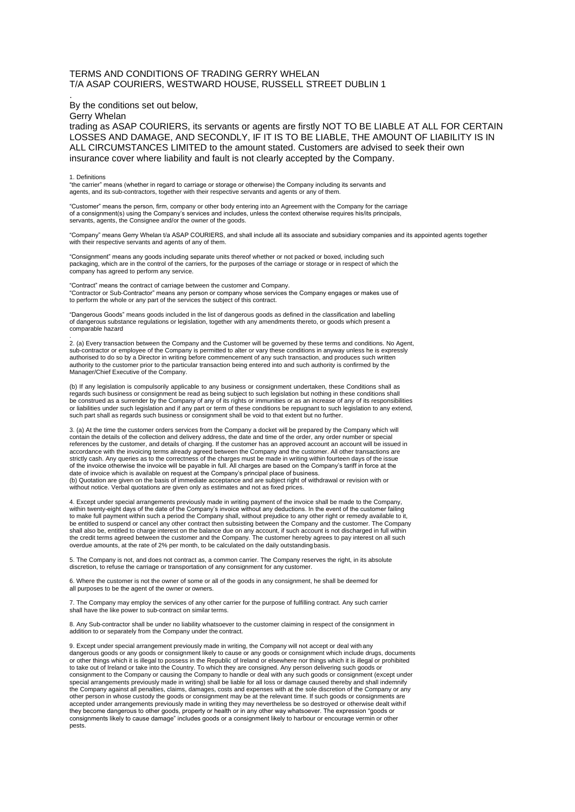## TERMS AND CONDITIONS OF TRADING GERRY WHELAN T/A ASAP COURIERS, WESTWARD HOUSE, RUSSELL STREET DUBLIN 1

## By the conditions set out below,

Gerry Whelan

.

trading as ASAP COURIERS, its servants or agents are firstly NOT TO BE LIABLE AT ALL FOR CERTAIN LOSSES AND DAMAGE, AND SECONDLY, IF IT IS TO BE LIABLE, THE AMOUNT OF LIABILITY IS IN ALL CIRCUMSTANCES LIMITED to the amount stated. Customers are advised to seek their own insurance cover where liability and fault is not clearly accepted by the Company.

## 1. Definitions

"the carrier" means (whether in regard to carriage or storage or otherwise) the Company including its servants and agents, and its sub-contractors, together with their respective servants and agents or any of them.

"Customer" means the person, firm, company or other body entering into an Agreement with the Company for the carriage of a consignment(s) using the Company's services and includes, unless the context otherwise requires his/its principals, servants, agents, the Consignee and/or the owner of the goods.

"Company" means Gerry Whelan t/a ASAP COURIERS, and shall include all its associate and subsidiary companies and its appointed agents together with their respective servants and agents of any of them.

"Consignment" means any goods including separate units thereof whether or not packed or boxed, including such packaging, which are in the control of the carriers, for the purposes of the carriage or storage or in respect of which the company has agreed to perform any service.

"Contract" means the contract of carriage between the customer and Company. "Contractor or Sub-Contractor" means any person or company whose services the Company engages or makes use of to perform the whole or any part of the services the subject of this contract.

"Dangerous Goods" means goods included in the list of dangerous goods as defined in the classification and labelling of dangerous substance regulations or legislation, together with any amendments thereto, or goods which present a comparable hazard

. 2. (a) Every transaction between the Company and the Customer will be governed by these terms and conditions. No Agent, sub-contractor or employee of the Company is permitted to alter or vary these conditions in anyway unless he is expressly<br>authorised to do so by a Director in writing before commencement of any such transaction, and produc authority to the customer prior to the particular transaction being entered into and such authority is confirmed by the Manager/Chief Executive of the Company.

(b) If any legislation is compulsorily applicable to any business or consignment undertaken, these Conditions shall as regards such business or consignment be read as being subject to such legislation but nothing in these conditions shall<br>be construed as a surrender by the Company of any of its rights or immunities or as an increase of any or liabilities under such legislation and if any part or term of these conditions be repugnant to such legislation to any extend, such part shall as regards such business or consignment shall be void to that extent but no further.

3. (a) At the time the customer orders services from the Company a docket will be prepared by the Company which will<br>contain the details of the collection and delivery address, the date and time of the order, any order num references by the customer, and details of charging. If the customer has an approved account an account will be issued in<br>accordance with the invoicing terms already agreed between the Company and the customer. All other t of the invoice otherwise the invoice will be payable in full. All charges are based on the Company's tariff in force at the date of invoice which is available on request at the Company's principal place of business (b) Quotation are given on the basis of immediate acceptance and are subject right of withdrawal or revision with or without notice. Verbal quotations are given only as estimates and not as fixed prices.

4. Except under special arrangements previously made in writing payment of the invoice shall be made to the Company, within twenty-eight days of the date of the Company's invoice without any deductions. In the event of the customer failing to make full payment within such a period the Company shall, without prejudice to any other right or remedy available to it, be entitled to suspend or cancel any other contract then subsisting between the Company and the customer. The Company shall also be, entitled to charge interest on the balance due on any account, if such account is not discharged in full within the credit terms agreed between the customer and the Company. The customer hereby agrees to pay interest on all such overdue amounts, at the rate of 2% per month, to be calculated on the daily outstanding basis.

5. The Company is not, and does not contract as, a common carrier. The Company reserves the right, in its absolute discretion, to refuse the carriage or transportation of any consignment for any customer.

6. Where the customer is not the owner of some or all of the goods in any consignment, he shall be deemed for all purposes to be the agent of the owner or owners.

7. The Company may employ the services of any other carrier for the purpose of fulfilling contract. Any such carrier shall have the like power to sub-contract on similar terms.

8. Any Sub-contractor shall be under no liability whatsoever to the customer claiming in respect of the consignment in addition to or separately from the Company under the contract.

9. Except under special arrangement previously made in writing, the Company will not accept or deal with any dangerous goods or any goods or consignment likely to cause or any goods or consignment which include drugs, documents<br>or other things which it is illegal to possess in the Republic of Ireland or elsewhere nor things which to take out of Ireland or take into the Country. To which they are consigned. Any person delivering such goods or<br>consignment to the Company or causing the Company to handle or deal with any such goods or consignment (exce the Company against all penalties, claims, damages, costs and expenses with at the sole discretion of the Company or any<br>other person in whose custody the goods or consignment may be at the relevant time. If such goods or accepted under arrangements previously made in writing they may nevertheless be so destroyed or otherwise dealt withif they become dangerous to other goods, property or health or in any other way whatsoever. The expression "goods or consignments likely to cause damage" includes goods or a consignment likely to harbour or encourage vermin or other pests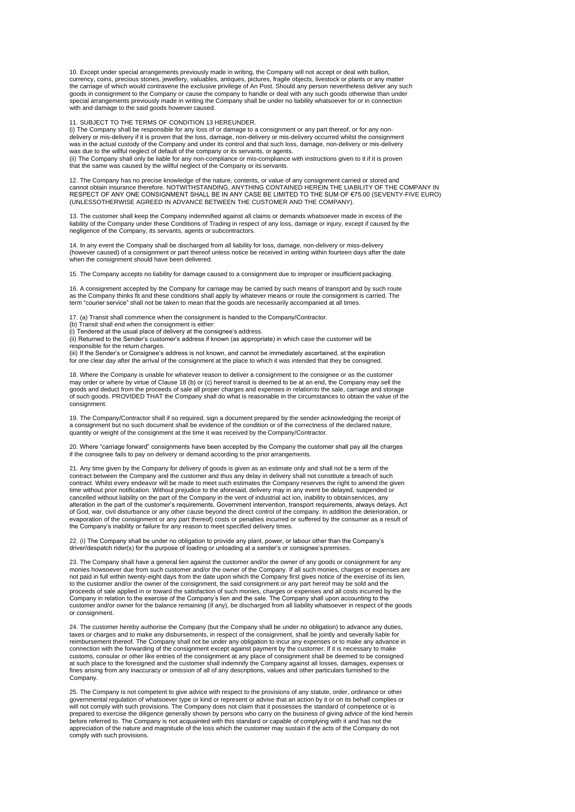10. Except under special arrangements previously made in writing, the Company will not accept or deal with bullion,<br>currency, coins, precious stones, jewellery, valuables, antiques, pictures, fragile objects, livestock or the carriage of which would contravene the exclusive privilege of An Post. Should any person nevertheless deliver any such goods in consignment to the Company or cause the company to handle or deal with any such goods otherwise than under special arrangements previously made in writing the Company shall be under no liability whatsoever for or in connection with and damage to the said goods however caused.

11. SUBJECT TO THE TERMS OF CONDITION 13 HEREUNDER.

(i) The Company shall be responsible for any loss of or damage to a consignment or any part thereof, or for any nondelivery or mis-delivery if it is proven that the loss, damage, non-delivery or mis-delivery occurred whilst the consignment<br>was in the actual custody of the Company and under its control and that such loss, damage, non-de was due to the willful neglect of default of the company or its servants, or agents.

(ii) The Company shall only be liable for any non-compliance or mis-compliance with instructions given to it if it is proven<br>that the same was caused by the willful neglect of the Company or its servants.

12. The Company has no precise knowledge of the nature, contents, or value of any consignment carried or stored and<br>cannot obtain insurance therefore. NOTWITHSTANDING, ANYTHING CONTAINED HEREIN THE LIABILITY OF THE COMPANY RESPECT OF ANY ONE CONSIGNMENT SHALL BE IN ANY CASE BE LIMITED TO THE SUM OF €75.00 (SEVENTY-FIVE EURO) (UNLESSOTHERWISE AGREED IN ADVANCE BETWEEN THE CUSTOMER AND THE COMPANY).

13. The customer shall keep the Company indemnified against all claims or demands whatsoever made in excess of the liability of the Company under these Conditions of Trading in respect of any loss, damage or injury, except if caused by the negligence of the Company, its servants, agents or subcontractors.

14. In any event the Company shall be discharged from all liability for loss, damage, non-delivery or miss-delivery<br>(however caused) of a consignment or part thereof unless notice be received in writing within fourteen day when the consignment should have been delivered.

15. The Company accepts no liability for damage caused to a consignment due to improper or insufficient packaging.

16. A consignment accepted by the Company for carriage may be carried by such means of transport and by such route<br>as the Company thinks fit and these conditions shall apply by whatever means or route the consignment is ca term "courier service" shall not be taken to mean that the goods are necessarily accompanied at all times.

17. (a) Transit shall commence when the consignment is handed to the Company/Contractor.

(b) Transit shall end when the consignment is either:

(i) Tendered at the usual place of delivery at the consignee's address.

(ii) Returned to the Sender's customer's address if known (as appropriate) in which case the customer will be responsible for the return charges.

(iii) If the Sender's or Consignee's address is not known, and cannot be immediately ascertained, at the expiration for one clear day after the arrival of the consignment at the place to which it was intended that they be consigned.

18. Where the Company is unable for whatever reason to deliver a consignment to the consignee or as the customer may order or where by virtue of Clause 18 (b) or (c) hereof transit is deemed to be at an end, the Company may sell the goods and deduct from the proceeds of sale all proper charges and expenses in relationto the sale, carriage and storage of such goods. PROVIDED THAT the Company shall do what is reasonable in the circumstances to obtain the value of the consignment.

19. The Company/Contractor shall if so required, sign a document prepared by the sender acknowledging the receipt of<br>a consignment but no such document shall be evidence of the condition or of the correctness of the declar quantity or weight of the consignment at the time it was received by the Company/Contractor.

20. Where "carriage forward" consignments have been accepted by the Company the customer shall pay all the charges if the consignee fails to pay on delivery or demand according to the prior arrangements.

21. Any time given by the Company for delivery of goods is given as an estimate only and shall not be a term of the contract between the Company and the customer and thus any delay in delivery shall not constitute a breach of such contract. Whilst every endeavor will be made to meet such estimates the Company reserves the right to amend the given<br>time without prior notification. Without prejudice to the aforesaid, delivery may in any event be delaye cancelled without liability on the part of the Company in the vent of industrial act ion, inability to obtainservices, any alteration in the part of the customer's requirements, Government intervention, transport requirements, always delays, Act of God, war, civil disturbance or any other cause beyond the direct control of the company. In addition the deterioration, or evaporation of the consignment or any part thereof) costs or penalties incurred or suffered by the consumer as a result of the Company's inability or failure for any reason to meet specified delivery times.

22. (i) The Company shall be under no obligation to provide any plant, power, or labour other than the Company's driver/despatch rider(s) for the purpose of loading or unloading at a sender's or consignee'spremises.

23. The Company shall have a general lien against the customer and/or the owner of any goods or consignment for any monies howsoever due from such customer and/or the owner of the Company. If all such monies, charges or expenses are<br>not paid in full within twenty-eight days from the date upon which the Company first gives notice of the to the customer and/or the owner of the consignment, the said consignment or any part hereof may be sold and the proceeds of sale applied in or toward the satisfaction of such monies, charges or expenses and all costs incurred by the<br>Company in relation to the exercise of the Company's lien and the sale. The Company shall upon accoun customer and/or owner for the balance remaining (if any), be discharged from all liability whatsoever in respect of the goods or consignment.

24. The customer hereby authorise the Company (but the Company shall be under no obligation) to advance any duties, taxes or charges and to make any disbursements, in respect of the consignment, shall be jointly and severally liable for<br>reimbursement thereof. The Company shall not be under any obligation to incur any expenses or to make connection with the forwarding of the consignment except against payment by the customer. If it is necessary to make<br>customs, consular or other like entries of the consignment at any place of consignment shall be deemed to fines arising from any inaccuracy or omission of all of any descriptions, values and other particulars furnished to the Company.

25. The Company is not competent to give advice with respect to the provisions of any statute, order, ordinance or other<br>governmental regulation of whatsoever type or kind or represent or advise that an action by it or on prepared to exercise the diligence generally shown by persons who carry on the business of giving advice of the kind herein<br>before referred to. The Company is not acquainted with this standard or capable of complying with appreciation of the nature and magnitude of the loss which the customer may sustain if the acts of the Company do not comply with such provisions.